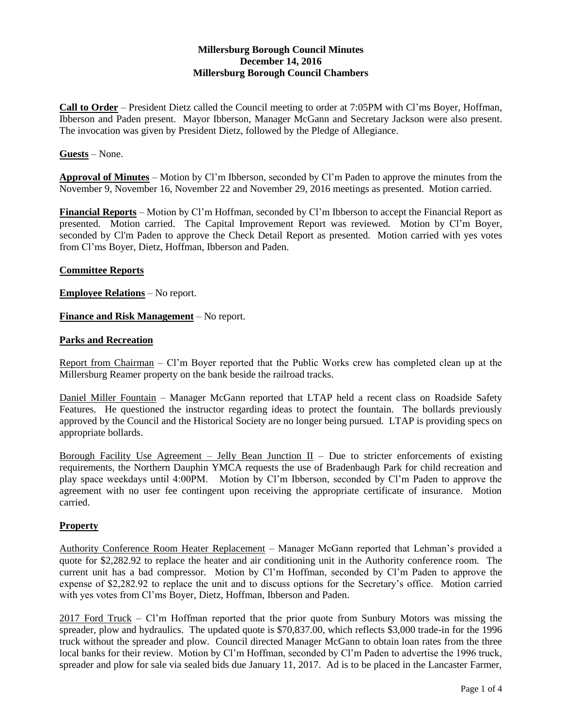# **Millersburg Borough Council Minutes December 14, 2016 Millersburg Borough Council Chambers**

**Call to Order** – President Dietz called the Council meeting to order at 7:05PM with Cl'ms Boyer, Hoffman, Ibberson and Paden present. Mayor Ibberson, Manager McGann and Secretary Jackson were also present. The invocation was given by President Dietz, followed by the Pledge of Allegiance.

### **Guests** – None.

**Approval of Minutes** – Motion by Cl'm Ibberson, seconded by Cl'm Paden to approve the minutes from the November 9, November 16, November 22 and November 29, 2016 meetings as presented. Motion carried.

**Financial Reports** – Motion by Cl'm Hoffman, seconded by Cl'm Ibberson to accept the Financial Report as presented. Motion carried. The Capital Improvement Report was reviewed. Motion by Cl'm Boyer, seconded by Cl'm Paden to approve the Check Detail Report as presented. Motion carried with yes votes from Cl'ms Boyer, Dietz, Hoffman, Ibberson and Paden.

### **Committee Reports**

**Employee Relations** – No report.

**Finance and Risk Management** – No report.

### **Parks and Recreation**

Report from Chairman - Cl'm Boyer reported that the Public Works crew has completed clean up at the Millersburg Reamer property on the bank beside the railroad tracks.

Daniel Miller Fountain – Manager McGann reported that LTAP held a recent class on Roadside Safety Features. He questioned the instructor regarding ideas to protect the fountain. The bollards previously approved by the Council and the Historical Society are no longer being pursued. LTAP is providing specs on appropriate bollards.

Borough Facility Use Agreement – Jelly Bean Junction  $II$  – Due to stricter enforcements of existing requirements, the Northern Dauphin YMCA requests the use of Bradenbaugh Park for child recreation and play space weekdays until 4:00PM. Motion by Cl'm Ibberson, seconded by Cl'm Paden to approve the agreement with no user fee contingent upon receiving the appropriate certificate of insurance. Motion carried.

#### **Property**

Authority Conference Room Heater Replacement – Manager McGann reported that Lehman's provided a quote for \$2,282.92 to replace the heater and air conditioning unit in the Authority conference room. The current unit has a bad compressor. Motion by Cl'm Hoffman, seconded by Cl'm Paden to approve the expense of \$2,282.92 to replace the unit and to discuss options for the Secretary's office. Motion carried with yes votes from Cl'ms Boyer, Dietz, Hoffman, Ibberson and Paden.

2017 Ford Truck – Cl'm Hoffman reported that the prior quote from Sunbury Motors was missing the spreader, plow and hydraulics. The updated quote is \$70,837.00, which reflects \$3,000 trade-in for the 1996 truck without the spreader and plow. Council directed Manager McGann to obtain loan rates from the three local banks for their review. Motion by Cl'm Hoffman, seconded by Cl'm Paden to advertise the 1996 truck, spreader and plow for sale via sealed bids due January 11, 2017. Ad is to be placed in the Lancaster Farmer,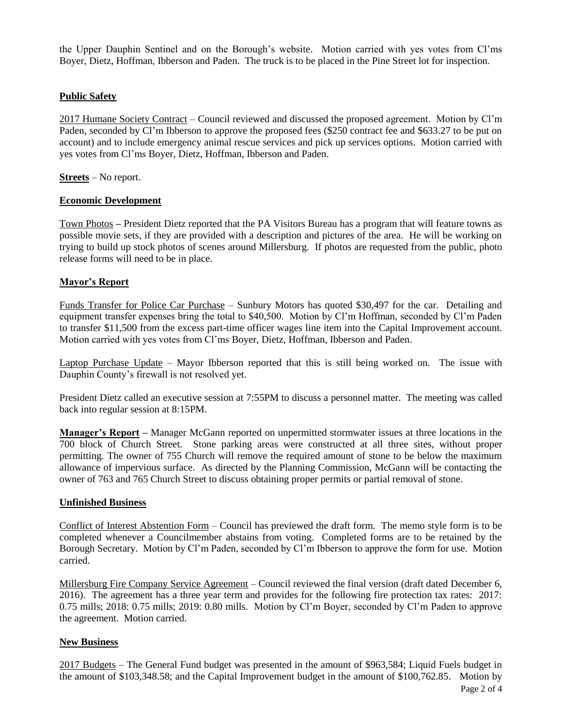the Upper Dauphin Sentinel and on the Borough's website. Motion carried with yes votes from Cl'ms Boyer, Dietz, Hoffman, Ibberson and Paden. The truck is to be placed in the Pine Street lot for inspection.

## **Public Safety**

2017 Humane Society Contract – Council reviewed and discussed the proposed agreement. Motion by Cl'm Paden, seconded by Cl'm Ibberson to approve the proposed fees (\$250 contract fee and \$633.27 to be put on account) and to include emergency animal rescue services and pick up services options. Motion carried with yes votes from Cl'ms Boyer, Dietz, Hoffman, Ibberson and Paden.

**Streets** – No report.

### **Economic Development**

Town Photos **–** President Dietz reported that the PA Visitors Bureau has a program that will feature towns as possible movie sets, if they are provided with a description and pictures of the area. He will be working on trying to build up stock photos of scenes around Millersburg. If photos are requested from the public, photo release forms will need to be in place.

### **Mayor's Report**

Funds Transfer for Police Car Purchase – Sunbury Motors has quoted \$30,497 for the car. Detailing and equipment transfer expenses bring the total to \$40,500. Motion by Cl'm Hoffman, seconded by Cl'm Paden to transfer \$11,500 from the excess part-time officer wages line item into the Capital Improvement account. Motion carried with yes votes from Cl'ms Boyer, Dietz, Hoffman, Ibberson and Paden.

Laptop Purchase Update – Mayor Ibberson reported that this is still being worked on. The issue with Dauphin County's firewall is not resolved yet.

President Dietz called an executive session at 7:55PM to discuss a personnel matter. The meeting was called back into regular session at 8:15PM.

**Manager's Report –** Manager McGann reported on unpermitted stormwater issues at three locations in the 700 block of Church Street. Stone parking areas were constructed at all three sites, without proper permitting. The owner of 755 Church will remove the required amount of stone to be below the maximum allowance of impervious surface. As directed by the Planning Commission, McGann will be contacting the owner of 763 and 765 Church Street to discuss obtaining proper permits or partial removal of stone.

## **Unfinished Business**

Conflict of Interest Abstention Form – Council has previewed the draft form. The memo style form is to be completed whenever a Councilmember abstains from voting. Completed forms are to be retained by the Borough Secretary. Motion by Cl'm Paden, seconded by Cl'm Ibberson to approve the form for use. Motion carried.

Millersburg Fire Company Service Agreement – Council reviewed the final version (draft dated December 6, 2016). The agreement has a three year term and provides for the following fire protection tax rates: 2017: 0.75 mills; 2018: 0.75 mills; 2019: 0.80 mills. Motion by Cl'm Boyer, seconded by Cl'm Paden to approve the agreement. Motion carried.

## **New Business**

2017 Budgets – The General Fund budget was presented in the amount of \$963,584; Liquid Fuels budget in the amount of \$103,348.58; and the Capital Improvement budget in the amount of \$100,762.85. Motion by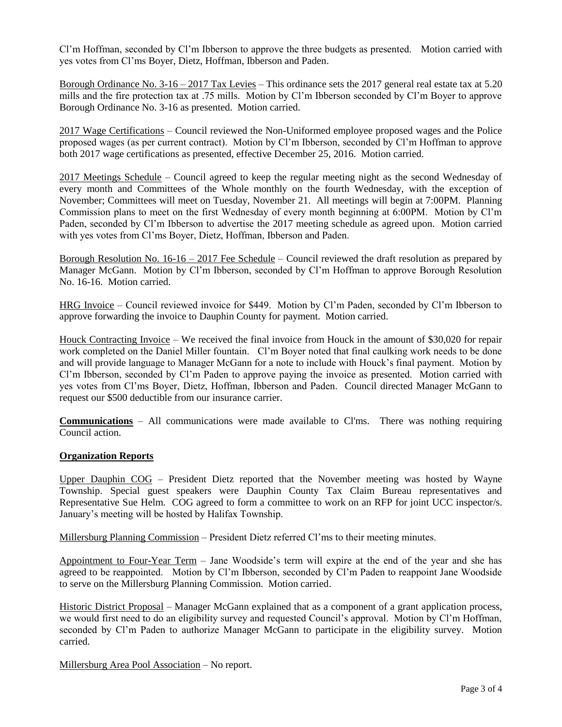Cl'm Hoffman, seconded by Cl'm Ibberson to approve the three budgets as presented. Motion carried with yes votes from Cl'ms Boyer, Dietz, Hoffman, Ibberson and Paden.

Borough Ordinance No. 3-16 – 2017 Tax Levies – This ordinance sets the 2017 general real estate tax at 5.20 mills and the fire protection tax at .75 mills. Motion by Cl'm Ibberson seconded by Cl'm Boyer to approve Borough Ordinance No. 3-16 as presented. Motion carried.

2017 Wage Certifications – Council reviewed the Non-Uniformed employee proposed wages and the Police proposed wages (as per current contract). Motion by Cl'm Ibberson, seconded by Cl'm Hoffman to approve both 2017 wage certifications as presented, effective December 25, 2016. Motion carried.

2017 Meetings Schedule – Council agreed to keep the regular meeting night as the second Wednesday of every month and Committees of the Whole monthly on the fourth Wednesday, with the exception of November; Committees will meet on Tuesday, November 21. All meetings will begin at 7:00PM. Planning Commission plans to meet on the first Wednesday of every month beginning at 6:00PM. Motion by Cl'm Paden, seconded by Cl'm Ibberson to advertise the 2017 meeting schedule as agreed upon. Motion carried with yes votes from Cl'ms Boyer, Dietz, Hoffman, Ibberson and Paden.

Borough Resolution No. 16-16 – 2017 Fee Schedule – Council reviewed the draft resolution as prepared by Manager McGann. Motion by Cl'm Ibberson, seconded by Cl'm Hoffman to approve Borough Resolution No. 16-16. Motion carried.

HRG Invoice – Council reviewed invoice for \$449. Motion by Cl'm Paden, seconded by Cl'm Ibberson to approve forwarding the invoice to Dauphin County for payment. Motion carried.

Houck Contracting Invoice – We received the final invoice from Houck in the amount of \$30,020 for repair work completed on the Daniel Miller fountain. Cl'm Boyer noted that final caulking work needs to be done and will provide language to Manager McGann for a note to include with Houck's final payment. Motion by Cl'm Ibberson, seconded by Cl'm Paden to approve paying the invoice as presented. Motion carried with yes votes from Cl'ms Boyer, Dietz, Hoffman, Ibberson and Paden. Council directed Manager McGann to request our \$500 deductible from our insurance carrier.

**Communications** – All communications were made available to Cl'ms. There was nothing requiring Council action.

## **Organization Reports**

Upper Dauphin COG – President Dietz reported that the November meeting was hosted by Wayne Township. Special guest speakers were Dauphin County Tax Claim Bureau representatives and Representative Sue Helm. COG agreed to form a committee to work on an RFP for joint UCC inspector/s. January's meeting will be hosted by Halifax Township.

Millersburg Planning Commission – President Dietz referred Cl'ms to their meeting minutes.

Appointment to Four-Year Term – Jane Woodside's term will expire at the end of the year and she has agreed to be reappointed. Motion by Cl'm Ibberson, seconded by Cl'm Paden to reappoint Jane Woodside to serve on the Millersburg Planning Commission. Motion carried.

Historic District Proposal – Manager McGann explained that as a component of a grant application process, we would first need to do an eligibility survey and requested Council's approval. Motion by Cl'm Hoffman, seconded by Cl'm Paden to authorize Manager McGann to participate in the eligibility survey. Motion carried.

Millersburg Area Pool Association – No report.